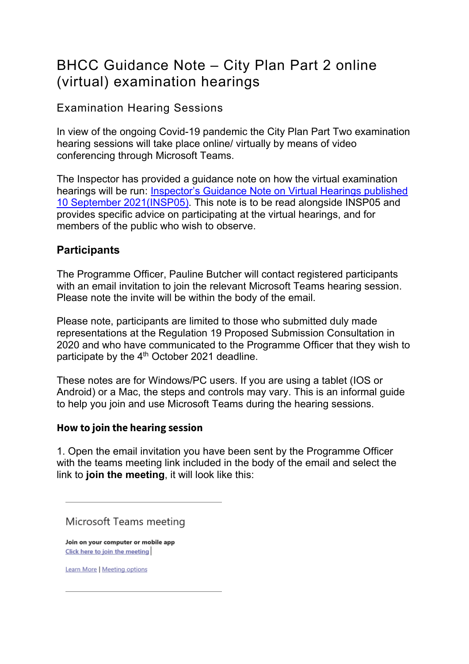## BHCC Guidance Note – City Plan Part 2 online (virtual) examination hearings

### Examination Hearing Sessions

In view of the ongoing Covid-19 pandemic the City Plan Part Two examination hearing sessions will take place online/ virtually by means of video conferencing through Microsoft Teams.

The Inspector has provided a guidance note on how the virtual examination hearings will be run: [Inspector's Guidance Note on Virtual Hearings published](https://www.brighton-hove.gov.uk/sites/default/files/2021-09/INSP05_Guidance%20for%20participants%20and%20observers%20in%20Virtual%20Hearings_Sep%202021.pdf)  [10 September 2021\(INSP05\).](https://www.brighton-hove.gov.uk/sites/default/files/2021-09/INSP05_Guidance%20for%20participants%20and%20observers%20in%20Virtual%20Hearings_Sep%202021.pdf) This note is to be read alongside INSP05 and provides specific advice on participating at the virtual hearings, and for members of the public who wish to observe.

### **Participants**

The Programme Officer, Pauline Butcher will contact registered participants with an email invitation to join the relevant Microsoft Teams hearing session. Please note the invite will be within the body of the email.

Please note, participants are limited to those who submitted duly made representations at the Regulation 19 Proposed Submission Consultation in 2020 and who have communicated to the Programme Officer that they wish to participate by the 4<sup>th</sup> October 2021 deadline.

These notes are for Windows/PC users. If you are using a tablet (IOS or Android) or a Mac, the steps and controls may vary. This is an informal guide to help you join and use Microsoft Teams during the hearing sessions.

#### **How to join the hearing session**

1. Open the email invitation you have been sent by the Programme Officer with the teams meeting link included in the body of the email and select the link to **join the meeting**, it will look like this:

Microsoft Teams meeting

Join on your computer or mobile app Click here to join the meeting

**Learn More | Meeting options**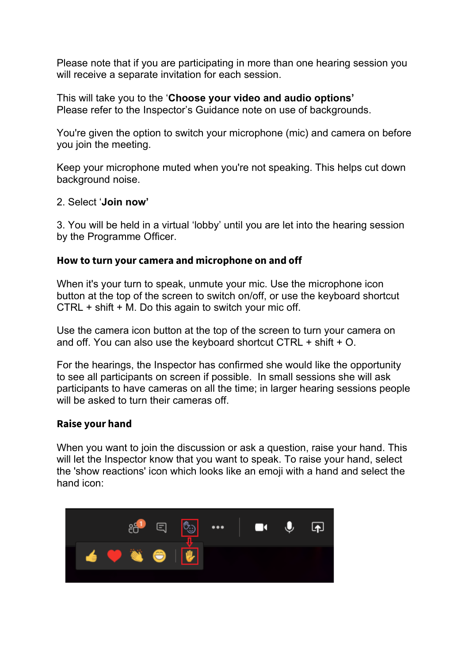Please note that if you are participating in more than one hearing session you will receive a separate invitation for each session.

This will take you to the '**Choose your video and audio options'** Please refer to the Inspector's Guidance note on use of backgrounds.

You're given the option to switch your microphone (mic) and camera on before you join the meeting.

Keep your microphone muted when you're not speaking. This helps cut down background noise.

#### 2. Select '**Join now'**

3. You will be held in a virtual 'lobby' until you are let into the hearing session by the Programme Officer.

#### **How to turn your camera and microphone on and off**

When it's your turn to speak, unmute your mic. Use the microphone icon button at the top of the screen to switch on/off, or use the keyboard shortcut CTRL + shift + M. Do this again to switch your mic off.

Use the camera icon button at the top of the screen to turn your camera on and off. You can also use the keyboard shortcut CTRL + shift + O.

For the hearings, the Inspector has confirmed she would like the opportunity to see all participants on screen if possible. In small sessions she will ask participants to have cameras on all the time; in larger hearing sessions people will be asked to turn their cameras off.

#### **Raise your hand**

When you want to join the discussion or ask a question, raise your hand. This will let the Inspector know that you want to speak. To raise your hand, select the 'show reactions' icon which looks like an emoji with a hand and select the hand icon:

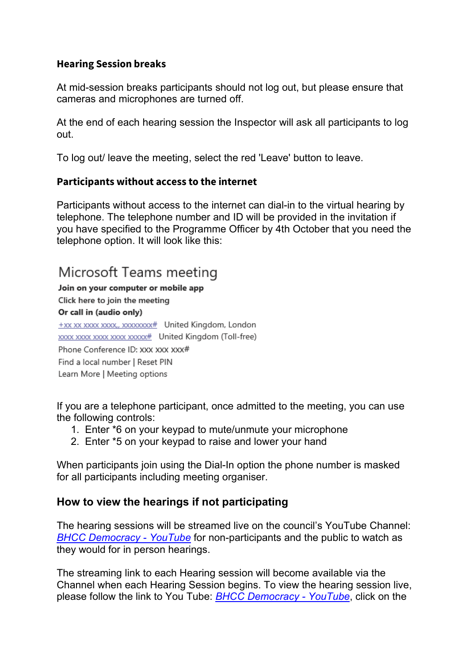#### **Hearing Session breaks**

At mid-session breaks participants should not log out, but please ensure that cameras and microphones are turned off.

At the end of each hearing session the Inspector will ask all participants to log out.

To log out/ leave the meeting, select the red 'Leave' button to leave.

#### **Participants without access to the internet**

Participants without access to the internet can dial-in to the virtual hearing by telephone. The telephone number and ID will be provided in the invitation if you have specified to the Programme Officer by 4th October that you need the telephone option. It will look like this:

## Microsoft Teams meeting

Join on your computer or mobile app Click here to join the meeting Or call in (audio only) +xx xx xxxx xxxx, xxxxxxxx# United Kingdom, London xxxx xxxx xxxx xxxx xxxxx# United Kingdom (Toll-free) Phone Conference ID: XXX XXX XXX# Find a local number | Reset PIN Learn More | Meeting options

If you are a telephone participant, once admitted to the meeting, you can use the following controls:

- 1. Enter \*6 on your keypad to mute/unmute your microphone
- 2. Enter \*5 on your keypad to raise and lower your hand

When participants join using the Dial-In option the phone number is masked for all participants including meeting organiser.

### **How to view the hearings if not participating**

The hearing sessions will be streamed live on the council's YouTube Channel: *[BHCC Democracy -](https://www.youtube.com/channel/UCAjEUgv_cindE1qlOIqMyMA) YouTube* for non-participants and the public to watch as they would for in person hearings.

The streaming link to each Hearing session will become available via the Channel when each Hearing Session begins. To view the hearing session live, please follow the link to You Tube: *[BHCC Democracy -](https://www.youtube.com/channel/UCAjEUgv_cindE1qlOIqMyMA) YouTube*, click on the